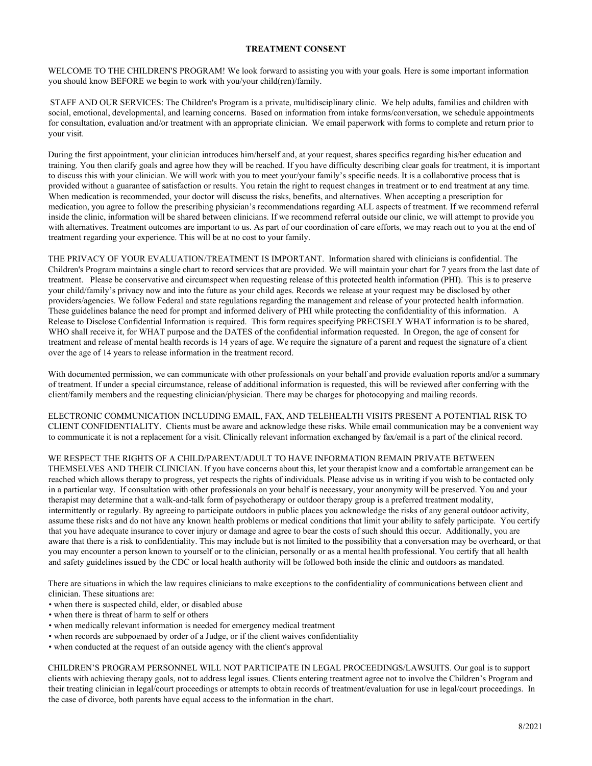## **TREATMENT CONSENT**

WELCOME TO THE CHILDREN'S PROGRAM! We look forward to assisting you with your goals. Here is some important information you should know BEFORE we begin to work with you/your child(ren)/family.

STAFF AND OUR SERVICES: The Children's Program is a private, multidisciplinary clinic. We help adults, families and children with social, emotional, developmental, and learning concerns. Based on information from intake forms/conversation, we schedule appointments for consultation, evaluation and/or treatment with an appropriate clinician. We email paperwork with forms to complete and return prior to your visit.

During the first appointment, your clinician introduces him/herself and, at your request, shares specifics regarding his/her education and training. You then clarify goals and agree how they will be reached. If you have difficulty describing clear goals for treatment, it is important to discuss this with your clinician. We will work with you to meet your/your family's specific needs. It is a collaborative process that is provided without a guarantee of satisfaction or results. You retain the right to request changes in treatment or to end treatment at any time. When medication is recommended, your doctor will discuss the risks, benefits, and alternatives. When accepting a prescription for medication, you agree to follow the prescribing physician's recommendations regarding ALL aspects of treatment. If we recommend referral inside the clinic, information will be shared between clinicians. If we recommend referral outside our clinic, we will attempt to provide you with alternatives. Treatment outcomes are important to us. As part of our coordination of care efforts, we may reach out to you at the end of treatment regarding your experience. This will be at no cost to your family.

THE PRIVACY OF YOUR EVALUATION/TREATMENT IS IMPORTANT. Information shared with clinicians is confidential. The Children's Program maintains a single chart to record services that are provided. We will maintain your chart for 7 years from the last date of treatment. Please be conservative and circumspect when requesting release of this protected health information (PHI). This is to preserve your child/family's privacy now and into the future as your child ages. Records we release at your request may be disclosed by other providers/agencies. We follow Federal and state regulations regarding the management and release of your protected health information. These guidelines balance the need for prompt and informed delivery of PHI while protecting the confidentiality of this information. A Release to Disclose Confidential Information is required. This form requires specifying PRECISELY WHAT information is to be shared, WHO shall receive it, for WHAT purpose and the DATES of the confidential information requested. In Oregon, the age of consent for treatment and release of mental health records is 14 years of age. We require the signature of a parent and request the signature of a client over the age of 14 years to release information in the treatment record.

With documented permission, we can communicate with other professionals on your behalf and provide evaluation reports and/or a summary of treatment. If under a special circumstance, release of additional information is requested, this will be reviewed after conferring with the client/family members and the requesting clinician/physician. There may be charges for photocopying and mailing records.

ELECTRONIC COMMUNICATION INCLUDING EMAIL, FAX, AND TELEHEALTH VISITS PRESENT A POTENTIAL RISK TO CLIENT CONFIDENTIALITY. Clients must be aware and acknowledge these risks. While email communication may be a convenient way to communicate it is not a replacement for a visit. Clinically relevant information exchanged by fax/email is a part of the clinical record.

WE RESPECT THE RIGHTS OF A CHILD/PARENT/ADULT TO HAVE INFORMATION REMAIN PRIVATE BETWEEN

THEMSELVES AND THEIR CLINICIAN. If you have concerns about this, let your therapist know and a comfortable arrangement can be reached which allows therapy to progress, yet respects the rights of individuals. Please advise us in writing if you wish to be contacted only in a particular way. If consultation with other professionals on your behalf is necessary, your anonymity will be preserved. You and your therapist may determine that a walk-and-talk form of psychotherapy or outdoor therapy group is a preferred treatment modality, intermittently or regularly. By agreeing to participate outdoors in public places you acknowledge the risks of any general outdoor activity, assume these risks and do not have any known health problems or medical conditions that limit your ability to safely participate. You certify that you have adequate insurance to cover injury or damage and agree to bear the costs of such should this occur. Additionally, you are aware that there is a risk to confidentiality. This may include but is not limited to the possibility that a conversation may be overheard, or that you may encounter a person known to yourself or to the clinician, personally or as a mental health professional. You certify that all health and safety guidelines issued by the CDC or local health authority will be followed both inside the clinic and outdoors as mandated.

There are situations in which the law requires clinicians to make exceptions to the confidentiality of communications between client and clinician. These situations are:

- when there is suspected child, elder, or disabled abuse
- when there is threat of harm to self or others
- when medically relevant information is needed for emergency medical treatment
- when records are subpoenaed by order of a Judge, or if the client waives confidentiality
- when conducted at the request of an outside agency with the client's approval

CHILDREN'S PROGRAM PERSONNEL WILL NOT PARTICIPATE IN LEGAL PROCEEDINGS/LAWSUITS. Our goal is to support clients with achieving therapy goals, not to address legal issues. Clients entering treatment agree not to involve the Children's Program and their treating clinician in legal/court proceedings or attempts to obtain records of treatment/evaluation for use in legal/court proceedings. In the case of divorce, both parents have equal access to the information in the chart.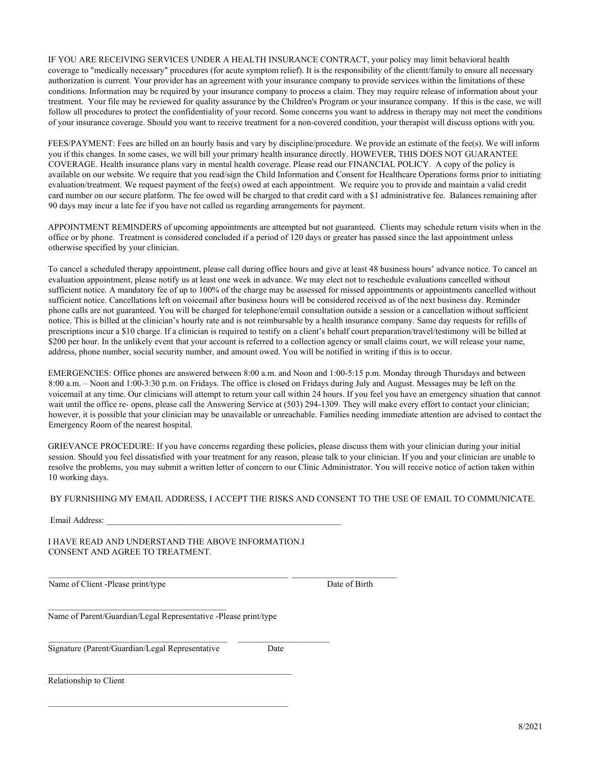IF YOU ARE RECEIVING SERVICES UNDER A HEALTH INSURANCE CONTRACT, your policy may limit behavioral health coverage to "medically necessary" procedures (for acute symptom relief). It is the responsibility of the clientt/family to ensure all necessary authorization is current. Your provider has an agreement with your insurance company to provide services within the limitations of these conditions. Information may be required by your insurance company to process a claim. They may require release of information about your treatment. Your file may be reviewed for quality assurance by the Children's Program or your insurance company. If this is the case, we will follow all procedures to protect the confidentiality of your record. Some concerns you want to address in therapy may not meet the conditions of your insurance coverage. Should you want to receive treatment for a non-covered condition, your therapist will discuss options with you.

FEES/PAYMENT: Fees are billed on an hourly basis and vary by discipline/procedure. We provide an estimate of the fee(s). We will inform you if this changes. In some cases, we will bill your primary health insurance directly. HOWEVER, THIS DOES NOT GUARANTEE COVERAGE. Health insurance plans vary in mental health coverage. Please read our FINANCIAL POLICY. A copy of the policy is available on our website. We require that you read/sign the Child Information and Consent for Healthcare Operations forms prior to initiating evaluation/treatment. We request payment of the fee(s) owed at each appointment. We require you to provide and maintain a valid credit card number on our secure platform. The fee owed will be charged to that credit card with a \$1 administrative fee. Balances remaining after 90 days may incur a late fee if you have not called us regarding arrangements for payment.

APPOINTMENT REMINDERS of upcoming appointments are attempted but not guaranteed. Clients may schedule return visits when in the office or by phone. Treatment is considered concluded if a period of 120 days or greater has passed since the last appointment unless otherwise specified by your clinician.

To cancel a scheduled therapy appointment, please call during office hours and give at least 48 business hours' advance notice. To cancel an evaluation appointment, please notify us at least one week in advance. We may elect not to reschedule evaluations cancelled without sufficient notice. A mandatory fee of up to 100% of the charge may be assessed for missed appointments or appointments cancelled without sufficient notice. Cancellations left on voicemail after business hours will be considered received as of the next business day. Reminder phone calls are not guaranteed. You will be charged for telephone/email consultation outside a session or a cancellation without sufficient notice. This is billed at the clinician's hourly rate and is not reimbursable by a health insurance company. Same day requests for refills of prescriptions incur a \$10 charge. If a clinician is required to testify on a client's behalf court preparation/travel/testimony will be billed at \$200 per hour. In the unlikely event that your account is referred to a collection agency or small claims court, we will release your name, address, phone number, social security number, and amount owed. You will be notified in writing if this is to occur.

EMERGENCIES: Office phones are answered between 8:00 a.m. and Noon and 1:00-5:15 p.m. Monday through Thursdays and between 8:00 a.m. – Noon and 1:00-3:30 p.m. on Fridays. The office is closed on Fridays during July and August. Messages may be left on the voicemail at any time. Our clinicians will attempt to return your call within 24 hours. If you feel you have an emergency situation that cannot wait until the office re- opens, please call the Answering Service at (503) 294-1309. They will make every effort to contact your clinician; however, it is possible that your clinician may be unavailable or unreachable. Families needing immediate attention are advised to contact the Emergency Room of the nearest hospital.

GRIEVANCE PROCEDURE: If you have concerns regarding these policies, please discuss them with your clinician during your initial session. Should you feel dissatisfied with your treatment for any reason, please talk to your clinician. If you and your clinician are unable to resolve the problems, you may submit a written letter of concern to our Clinic Administrator. You will receive notice of action taken within 10 working days.

## BY FURNISHING MY EMAIL ADDRESS, I ACCEPT THE RISKS AND CONSENT TO THE USE OF EMAIL TO COMMUNICATE.

Email Address:

I HAVE READ AND UNDERSTAND THE ABOVE INFORMATION.I CONSENT AND AGREE TO TREATMENT.

 $\_$  , and the set of the set of the set of the set of the set of the set of the set of the set of the set of the set of the set of the set of the set of the set of the set of the set of the set of the set of the set of th

 $\_$  ,  $\_$  ,  $\_$  ,  $\_$  ,  $\_$  ,  $\_$  ,  $\_$  ,  $\_$  ,  $\_$  ,  $\_$  ,  $\_$  ,  $\_$  ,  $\_$  ,  $\_$  ,  $\_$  ,  $\_$  ,  $\_$  ,  $\_$  ,  $\_$  ,  $\_$  ,  $\_$  ,  $\_$  ,  $\_$  ,  $\_$  ,  $\_$  ,  $\_$  ,  $\_$  ,  $\_$  ,  $\_$  ,  $\_$  ,  $\_$  ,  $\_$  ,  $\_$  ,  $\_$  ,  $\_$  ,  $\_$  ,  $\_$  ,

Name of Client -Please print/type Date of Birth

Name of Parent/Guardian/Legal Representative -Please print/type

\_\_\_\_\_\_\_\_\_\_\_\_\_\_\_\_\_\_\_\_\_\_\_\_\_\_\_\_\_\_\_\_\_\_\_\_\_\_\_\_\_\_\_\_\_\_\_\_\_\_\_\_\_\_\_\_

Signature (Parent/Guardian/Legal Representative Date

\_\_\_\_\_\_\_\_\_\_\_\_\_\_\_\_\_\_\_\_\_\_\_\_\_\_\_\_\_\_\_\_\_\_\_\_\_\_\_\_\_

Relationship to Client